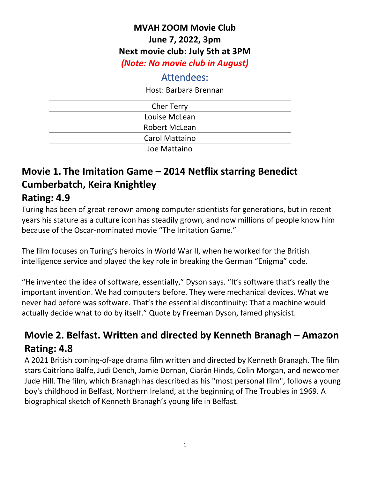#### **MVAH ZOOM Movie Club June 7, 2022, 3pm Next movie club: July 5th at 3PM** *(Note: No movie club in August)*

#### Attendees:

Host: Barbara Brennan

| <b>Cher Terry</b>     |  |
|-----------------------|--|
| Louise McLean         |  |
| <b>Robert McLean</b>  |  |
| <b>Carol Mattaino</b> |  |
| Joe Mattaino          |  |

# **Movie 1. The Imitation Game – 2014 Netflix starring Benedict Cumberbatch, Keira Knightley**

## **Rating: 4.9**

Turing has been of great renown among computer scientists for generations, but in recent years his stature as a culture icon has steadily grown, and now millions of people know him because of the Oscar-nominated movie "The Imitation Game."

The film focuses on Turing's heroics in World War II, when he worked for the British intelligence service and played the key role in breaking the German "Enigma" code.

"He invented the idea of software, essentially," Dyson says. "It's software that's really the important invention. We had computers before. They were mechanical devices. What we never had before was software. That's the essential discontinuity: That a machine would actually decide what to do by itself." Quote by Freeman Dyson, famed physicist.

## **Movie 2. Belfast. Written and directed by Kenneth Branagh – Amazon Rating: 4.8**

A 2021 British coming-of-age drama film written and directed by Kenneth Branagh. The film stars Caitríona Balfe, Judi Dench, Jamie Dornan, Ciarán Hinds, Colin Morgan, and newcomer Jude Hill. The film, which Branagh has described as his "most personal film", follows a young boy's childhood in Belfast, Northern Ireland, at the beginning of The Troubles in 1969. A biographical sketch of Kenneth Branagh's young life in Belfast.